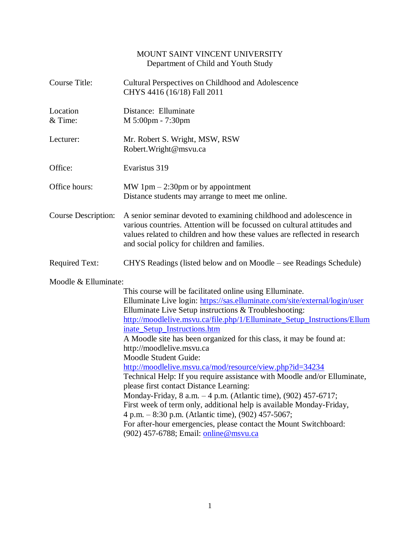# MOUNT SAINT VINCENT UNIVERSITY Department of Child and Youth Study

| <b>Course Title:</b>       | Cultural Perspectives on Childhood and Adolescence<br>CHYS 4416 (16/18) Fall 2011                                                                                                                                                                                                                                                                                                                                                                                                                                                                                                                                                                                                                                                                                                                                                                                                                                                           |
|----------------------------|---------------------------------------------------------------------------------------------------------------------------------------------------------------------------------------------------------------------------------------------------------------------------------------------------------------------------------------------------------------------------------------------------------------------------------------------------------------------------------------------------------------------------------------------------------------------------------------------------------------------------------------------------------------------------------------------------------------------------------------------------------------------------------------------------------------------------------------------------------------------------------------------------------------------------------------------|
| Location<br>& Time:        | Distance: Elluminate<br>M 5:00pm - 7:30pm                                                                                                                                                                                                                                                                                                                                                                                                                                                                                                                                                                                                                                                                                                                                                                                                                                                                                                   |
| Lecturer:                  | Mr. Robert S. Wright, MSW, RSW<br>Robert. Wright@msvu.ca                                                                                                                                                                                                                                                                                                                                                                                                                                                                                                                                                                                                                                                                                                                                                                                                                                                                                    |
| Office:                    | Evaristus 319                                                                                                                                                                                                                                                                                                                                                                                                                                                                                                                                                                                                                                                                                                                                                                                                                                                                                                                               |
| Office hours:              | MW 1pm $-$ 2:30pm or by appointment<br>Distance students may arrange to meet me online.                                                                                                                                                                                                                                                                                                                                                                                                                                                                                                                                                                                                                                                                                                                                                                                                                                                     |
| <b>Course Description:</b> | A senior seminar devoted to examining childhood and adolescence in<br>various countries. Attention will be focussed on cultural attitudes and<br>values related to children and how these values are reflected in research<br>and social policy for children and families.                                                                                                                                                                                                                                                                                                                                                                                                                                                                                                                                                                                                                                                                  |
| <b>Required Text:</b>      | CHYS Readings (listed below and on Moodle – see Readings Schedule)                                                                                                                                                                                                                                                                                                                                                                                                                                                                                                                                                                                                                                                                                                                                                                                                                                                                          |
| Moodle & Elluminate:       | This course will be facilitated online using Elluminate.<br>Elluminate Live login: https://sas.elluminate.com/site/external/login/user<br>Elluminate Live Setup instructions & Troubleshooting:<br>http://moodlelive.msvu.ca/file.php/1/Elluminate Setup Instructions/Ellum<br>inate Setup Instructions.htm<br>A Moodle site has been organized for this class, it may be found at:<br>http://moodlelive.msvu.ca<br>Moodle Student Guide:<br>http://moodlelive.msvu.ca/mod/resource/view.php?id=34234<br>Technical Help: If you require assistance with Moodle and/or Elluminate,<br>please first contact Distance Learning:<br>Monday-Friday, 8 a.m. -4 p.m. (Atlantic time), (902) 457-6717;<br>First week of term only, additional help is available Monday-Friday,<br>4 p.m. – 8:30 p.m. (Atlantic time), (902) 457-5067;<br>For after-hour emergencies, please contact the Mount Switchboard:<br>(902) 457-6788; Email: online@msvu.ca |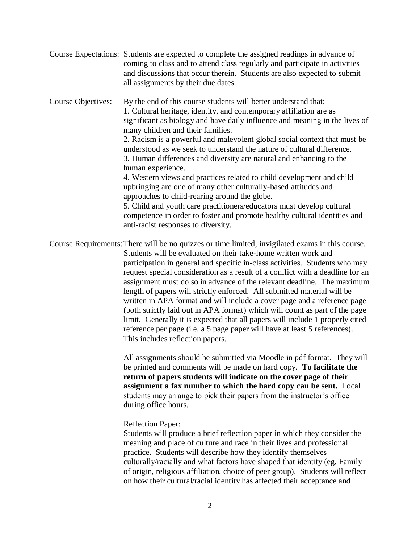Course Expectations: Students are expected to complete the assigned readings in advance of coming to class and to attend class regularly and participate in activities and discussions that occur therein. Students are also expected to submit all assignments by their due dates.

Course Objectives: By the end of this course students will better understand that: 1. Cultural heritage, identity, and contemporary affiliation are as significant as biology and have daily influence and meaning in the lives of many children and their families.

2. Racism is a powerful and malevolent global social context that must be understood as we seek to understand the nature of cultural difference. 3. Human differences and diversity are natural and enhancing to the human experience.

4. Western views and practices related to child development and child upbringing are one of many other culturally-based attitudes and approaches to child-rearing around the globe.

5. Child and youth care practitioners/educators must develop cultural competence in order to foster and promote healthy cultural identities and anti-racist responses to diversity.

Course Requirements:There will be no quizzes or time limited, invigilated exams in this course. Students will be evaluated on their take-home written work and participation in general and specific in-class activities. Students who may request special consideration as a result of a conflict with a deadline for an assignment must do so in advance of the relevant deadline. The maximum length of papers will strictly enforced. All submitted material will be written in APA format and will include a cover page and a reference page (both strictly laid out in APA format) which will count as part of the page limit. Generally it is expected that all papers will include 1 properly cited reference per page (i.e. a 5 page paper will have at least 5 references). This includes reflection papers.

> All assignments should be submitted via Moodle in pdf format. They will be printed and comments will be made on hard copy. **To facilitate the return of papers students will indicate on the cover page of their assignment a fax number to which the hard copy can be sent.** Local students may arrange to pick their papers from the instructor's office during office hours.

#### Reflection Paper:

Students will produce a brief reflection paper in which they consider the meaning and place of culture and race in their lives and professional practice. Students will describe how they identify themselves culturally/racially and what factors have shaped that identity (eg. Family of origin, religious affiliation, choice of peer group). Students will reflect on how their cultural/racial identity has affected their acceptance and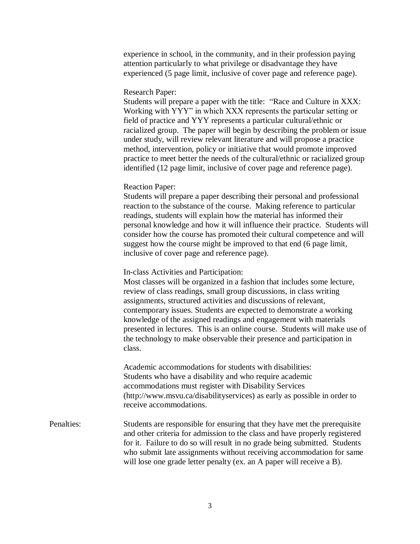experience in school, in the community, and in their profession paying attention particularly to what privilege or disadvantage they have experienced (5 page limit, inclusive of cover page and reference page).

### Research Paper:

Students will prepare a paper with the title: "Race and Culture in XXX: Working with YYY" in which XXX represents the particular setting or field of practice and YYY represents a particular cultural/ethnic or racialized group. The paper will begin by describing the problem or issue under study, will review relevant literature and will propose a practice method, intervention, policy or initiative that would promote improved practice to meet better the needs of the cultural/ethnic or racialized group identified (12 page limit, inclusive of cover page and reference page).

#### Reaction Paper:

Students will prepare a paper describing their personal and professional reaction to the substance of the course. Making reference to particular readings, students will explain how the material has informed their personal knowledge and how it will influence their practice. Students will consider how the course has promoted their cultural competence and will suggest how the course might be improved to that end (6 page limit, inclusive of cover page and reference page).

In-class Activities and Participation:

Most classes will be organized in a fashion that includes some lecture, review of class readings, small group discussions, in class writing assignments, structured activities and discussions of relevant, contemporary issues. Students are expected to demonstrate a working knowledge of the assigned readings and engagement with materials presented in lectures. This is an online course. Students will make use of the technology to make observable their presence and participation in class.

Academic accommodations for students with disabilities: Students who have a disability and who require academic accommodations must register with Disability Services (http://www.msvu.ca/disabilityservices) as early as possible in order to receive accommodations.

## Penalties: Students are responsible for ensuring that they have met the prerequisite and other criteria for admission to the class and have properly registered for it. Failure to do so will result in no grade being submitted. Students who submit late assignments without receiving accommodation for same will lose one grade letter penalty (ex. an A paper will receive a B).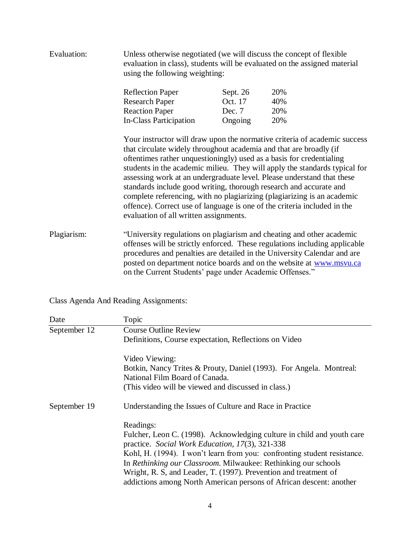| Evaluation: |                                                                                                              | Unless otherwise negotiated (we will discuss the concept of flexible<br>evaluation in class), students will be evaluated on the assigned material<br>using the following weighting: |                                                                                                                                                                                                                                                                                                                                                                                                                                                                                                                                        |  |
|-------------|--------------------------------------------------------------------------------------------------------------|-------------------------------------------------------------------------------------------------------------------------------------------------------------------------------------|----------------------------------------------------------------------------------------------------------------------------------------------------------------------------------------------------------------------------------------------------------------------------------------------------------------------------------------------------------------------------------------------------------------------------------------------------------------------------------------------------------------------------------------|--|
|             | <b>Reflection Paper</b>                                                                                      | Sept. 26                                                                                                                                                                            | 20%                                                                                                                                                                                                                                                                                                                                                                                                                                                                                                                                    |  |
|             | <b>Research Paper</b>                                                                                        | Oct. 17                                                                                                                                                                             | 40%                                                                                                                                                                                                                                                                                                                                                                                                                                                                                                                                    |  |
|             | <b>Reaction Paper</b>                                                                                        | Dec. 7                                                                                                                                                                              | 20%                                                                                                                                                                                                                                                                                                                                                                                                                                                                                                                                    |  |
|             | <b>In-Class Participation</b>                                                                                | Ongoing                                                                                                                                                                             | 20%                                                                                                                                                                                                                                                                                                                                                                                                                                                                                                                                    |  |
|             | that circulate widely throughout academia and that are broadly (if<br>evaluation of all written assignments. |                                                                                                                                                                                     | Your instructor will draw upon the normative criteria of academic success<br>oftentimes rather unquestioningly) used as a basis for credentialing<br>students in the academic milieu. They will apply the standards typical for<br>assessing work at an undergraduate level. Please understand that these<br>standards include good writing, thorough research and accurate and<br>complete referencing, with no plagiarizing (plagiarizing is an academic<br>offence). Correct use of language is one of the criteria included in the |  |
| Plagiarism: | on the Current Students' page under Academic Offenses."                                                      |                                                                                                                                                                                     | "University regulations on plagiarism and cheating and other academic<br>offenses will be strictly enforced. These regulations including applicable<br>procedures and penalties are detailed in the University Calendar and are<br>posted on department notice boards and on the website at www.msvu.ca                                                                                                                                                                                                                                |  |

Class Agenda And Reading Assignments:

| Date         | Topic                                                                                                                              |
|--------------|------------------------------------------------------------------------------------------------------------------------------------|
| September 12 | <b>Course Outline Review</b>                                                                                                       |
|              | Definitions, Course expectation, Reflections on Video                                                                              |
|              | Video Viewing:                                                                                                                     |
|              | Botkin, Nancy Trites & Prouty, Daniel (1993). For Angela. Montreal:<br>National Film Board of Canada.                              |
|              | (This video will be viewed and discussed in class.)                                                                                |
| September 19 | Understanding the Issues of Culture and Race in Practice                                                                           |
|              | Readings:                                                                                                                          |
|              | Fulcher, Leon C. (1998). Acknowledging culture in child and youth care<br>practice. Social Work Education, 17(3), 321-338          |
|              | Kohl, H. (1994). I won't learn from you: confronting student resistance.                                                           |
|              | In Rethinking our Classroom. Milwaukee: Rethinking our schools<br>Wright, R. S. and Leader, T. (1997). Prevention and treatment of |
|              | addictions among North American persons of African descent: another                                                                |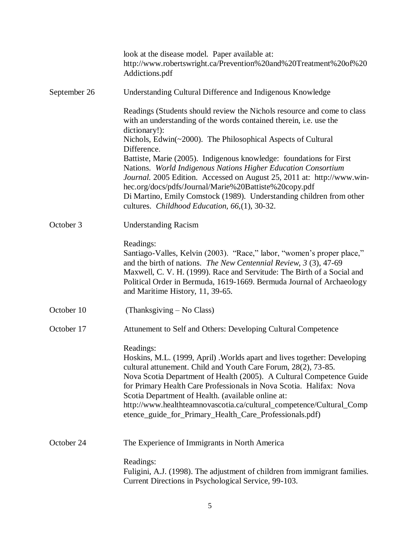|              | look at the disease model. Paper available at:<br>http://www.robertswright.ca/Prevention%20and%20Treatment%20of%20<br>Addictions.pdf                                                                                                                                                                                                                                                                                                                                                             |
|--------------|--------------------------------------------------------------------------------------------------------------------------------------------------------------------------------------------------------------------------------------------------------------------------------------------------------------------------------------------------------------------------------------------------------------------------------------------------------------------------------------------------|
| September 26 | Understanding Cultural Difference and Indigenous Knowledge                                                                                                                                                                                                                                                                                                                                                                                                                                       |
|              | Readings (Students should review the Nichols resource and come to class<br>with an understanding of the words contained therein, i.e. use the<br>dictionary!):                                                                                                                                                                                                                                                                                                                                   |
|              | Nichols, Edwin(~2000). The Philosophical Aspects of Cultural<br>Difference.                                                                                                                                                                                                                                                                                                                                                                                                                      |
|              | Battiste, Marie (2005). Indigenous knowledge: foundations for First<br>Nations. World Indigenous Nations Higher Education Consortium<br>Journal. 2005 Edition. Accessed on August 25, 2011 at: http://www.win-<br>hec.org/docs/pdfs/Journal/Marie%20Battiste%20copy.pdf<br>Di Martino, Emily Comstock (1989). Understanding children from other<br>cultures. Childhood Education, 66, (1), 30-32.                                                                                                |
| October 3    | <b>Understanding Racism</b>                                                                                                                                                                                                                                                                                                                                                                                                                                                                      |
|              | Readings:<br>Santiago-Valles, Kelvin (2003). "Race," labor, "women's proper place,"<br>and the birth of nations. The New Centennial Review, $3(3)$ , 47-69<br>Maxwell, C. V. H. (1999). Race and Servitude: The Birth of a Social and<br>Political Order in Bermuda, 1619-1669. Bermuda Journal of Archaeology<br>and Maritime History, 11, 39-65.                                                                                                                                               |
| October 10   | (Thanksgiving – No Class)                                                                                                                                                                                                                                                                                                                                                                                                                                                                        |
| October 17   | Attunement to Self and Others: Developing Cultural Competence                                                                                                                                                                                                                                                                                                                                                                                                                                    |
|              | Readings:<br>Hoskins, M.L. (1999, April) . Worlds apart and lives together: Developing<br>cultural attunement. Child and Youth Care Forum, 28(2), 73-85.<br>Nova Scotia Department of Health (2005). A Cultural Competence Guide<br>for Primary Health Care Professionals in Nova Scotia. Halifax: Nova<br>Scotia Department of Health. (available online at:<br>http://www.healthteamnovascotia.ca/cultural_competence/Cultural_Comp<br>etence_guide_for_Primary_Health_Care_Professionals.pdf) |
| October 24   | The Experience of Immigrants in North America                                                                                                                                                                                                                                                                                                                                                                                                                                                    |
|              | Readings:<br>Fuligini, A.J. (1998). The adjustment of children from immigrant families.<br>Current Directions in Psychological Service, 99-103.                                                                                                                                                                                                                                                                                                                                                  |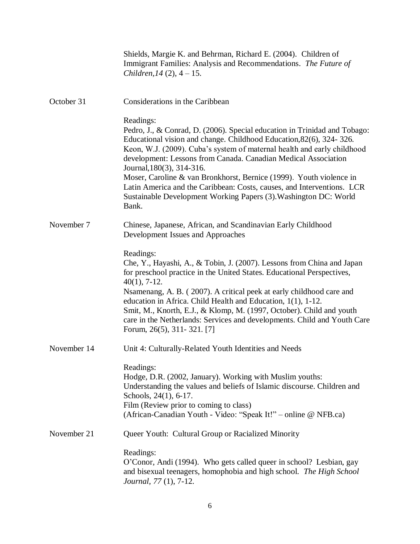|             | Shields, Margie K. and Behrman, Richard E. (2004). Children of<br>Immigrant Families: Analysis and Recommendations. The Future of<br>Children, $14(2)$ , $4-15$ .                                                                                                                                                                                                                                                                                                                                                                                                     |
|-------------|-----------------------------------------------------------------------------------------------------------------------------------------------------------------------------------------------------------------------------------------------------------------------------------------------------------------------------------------------------------------------------------------------------------------------------------------------------------------------------------------------------------------------------------------------------------------------|
| October 31  | Considerations in the Caribbean                                                                                                                                                                                                                                                                                                                                                                                                                                                                                                                                       |
|             | Readings:<br>Pedro, J., & Conrad, D. (2006). Special education in Trinidad and Tobago:<br>Educational vision and change. Childhood Education, 82(6), 324-326.<br>Keon, W.J. (2009). Cuba's system of maternal health and early childhood<br>development: Lessons from Canada. Canadian Medical Association<br>Journal, 180(3), 314-316.<br>Moser, Caroline & van Bronkhorst, Bernice (1999). Youth violence in<br>Latin America and the Caribbean: Costs, causes, and Interventions. LCR<br>Sustainable Development Working Papers (3). Washington DC: World<br>Bank. |
| November 7  | Chinese, Japanese, African, and Scandinavian Early Childhood<br>Development Issues and Approaches                                                                                                                                                                                                                                                                                                                                                                                                                                                                     |
|             | Readings:<br>Che, Y., Hayashi, A., & Tobin, J. (2007). Lessons from China and Japan<br>for preschool practice in the United States. Educational Perspectives,<br>$40(1)$ , 7-12.<br>Nsamenang, A. B. (2007). A critical peek at early childhood care and<br>education in Africa. Child Health and Education, 1(1), 1-12.<br>Smit, M., Knorth, E.J., & Klomp, M. (1997, October). Child and youth<br>care in the Netherlands: Services and developments. Child and Youth Care<br>Forum, 26(5), 311-321. [7]                                                            |
| November 14 | Unit 4: Culturally-Related Youth Identities and Needs                                                                                                                                                                                                                                                                                                                                                                                                                                                                                                                 |
|             | Readings:<br>Hodge, D.R. (2002, January). Working with Muslim youths:<br>Understanding the values and beliefs of Islamic discourse. Children and<br>Schools, 24(1), 6-17.<br>Film (Review prior to coming to class)<br>(African-Canadian Youth - Video: "Speak It!" – online @ NFB.ca)                                                                                                                                                                                                                                                                                |
| November 21 | Queer Youth: Cultural Group or Racialized Minority                                                                                                                                                                                                                                                                                                                                                                                                                                                                                                                    |
|             | Readings:<br>O'Conor, Andi (1994). Who gets called queer in school? Lesbian, gay<br>and bisexual teenagers, homophobia and high school. The High School<br>Journal, 77 (1), 7-12.                                                                                                                                                                                                                                                                                                                                                                                     |